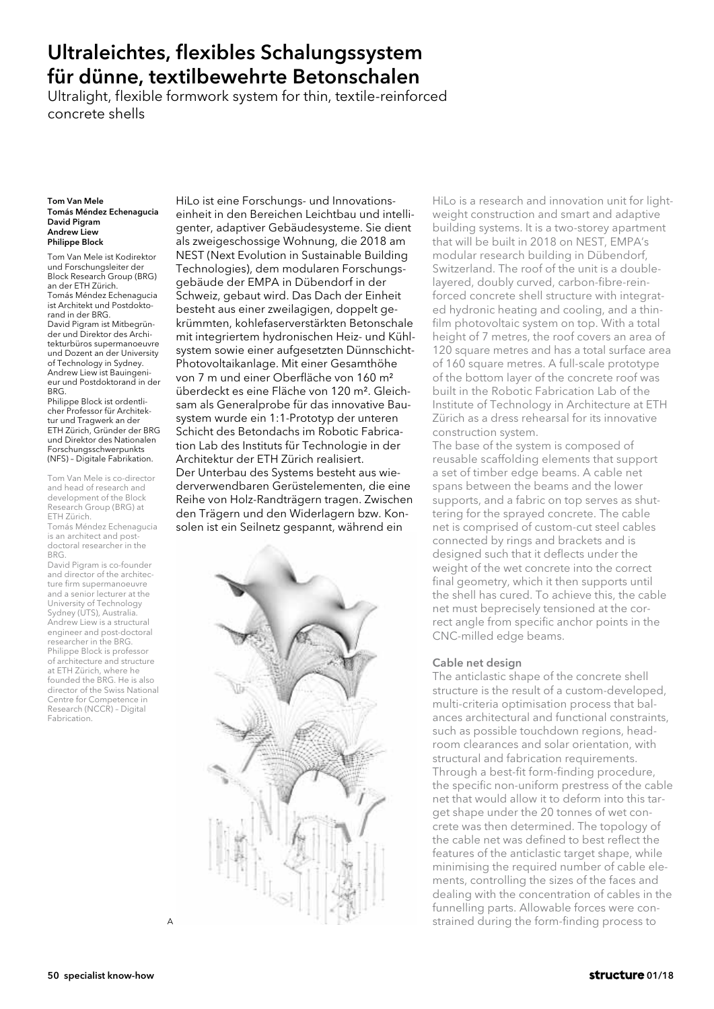# Ultraleichtes, flexibles Schalungssystem für dünne, textilbewehrte Betonschalen

Ultralight, flexible formwork system for thin, textile-reinforced concrete shells

#### Tom Van Mele Tomás Méndez Echenagucia David Pigram Andrew Liew Philippe Block

Tom Van Mele ist Kodirektor und Forschungsleiter der Block Research Group (BRG) an der ETH Zürich. Tomás Méndez Echenagucia ist Architekt und Postdoktorand in der BRG. David Pigram ist Mitbegründer und Direktor des Architekturbüros supermanoeuvre und Dozent an der University of Technology in Sydney. Andrew Liew ist Bauingenieur und Postdoktorand in der BRG.

Philippe Block ist ordentlicher Professor für Architektur und Tragwerk an der ETH Zürich, Gründer der BRG und Direktor des Nationalen Forschungsschwerpunkts (NFS) – Digitale Fabrikation.

Tom Van Mele is co-director and head of research and development of the Block Research Group (BRG) at ETH Zürich.

Tomás Méndez Echenagucia is an architect and postdoctoral researcher in the BRG.

David Pigram is co-founder and director of the architecture firm supermanoeuvre and a senior lecturer at the University of Technology Sydney (UTS), Australia. Andrew Liew is a structural engineer and post-doctoral researcher in the BRG Philippe Block is professor of architecture and structure at ETH Zürich, where he founded the BRG. He is also director of the Swiss National Centre for Competence in Research (NCCR) – Digital Fabrication.

HiLo ist eine Forschungs- und Innovationseinheit in den Bereichen Leichtbau und intelligenter, adaptiver Gebäudesysteme. Sie dient als zweigeschossige Wohnung, die 2018 am NEST (Next Evolution in Sustainable Building Technologies), dem modularen Forschungsgebäude der EMPA in Dübendorf in der Schweiz, gebaut wird. Das Dach der Einheit besteht aus einer zweilagigen, doppelt gekrümmten, kohlefaserverstärkten Betonschale mit integriertem hydronischen Heiz- und Kühlsystem sowie einer aufgesetzten Dünnschicht-Photovoltaikanlage. Mit einer Gesamthöhe von 7 m und einer Oberfläche von 160 m² überdeckt es eine Fläche von 120 m². Gleichsam als Generalprobe für das innovative Bausystem wurde ein 1:1-Prototyp der unteren Schicht des Betondachs im Robotic Fabrication Lab des Instituts für Technologie in der Architektur der ETH Zürich realisiert. Der Unterbau des Systems besteht aus wiederverwendbaren Gerüstelementen, die eine Reihe von Holz-Randträgern tragen. Zwischen den Trägern und den Widerlagern bzw. Konsolen ist ein Seilnetz gespannt, während ein



HiLo is a research and innovation unit for lightweight construction and smart and adaptive building systems. It is a two-storey apartment that will be built in 2018 on NEST, EMPA's modular research building in Dübendorf, Switzerland. The roof of the unit is a doublelayered, doubly curved, carbon-fibre-reinforced concrete shell structure with integrated hydronic heating and cooling, and a thinfilm photovoltaic system on top. With a total height of 7 metres, the roof covers an area of 120 square metres and has a total surface area of 160 square metres. A full-scale prototype of the bottom layer of the concrete roof was built in the Robotic Fabrication Lab of the Institute of Technology in Architecture at ETH Zürich as a dress rehearsal for its innovative construction system.

The base of the system is composed of reusable scaffolding elements that support a set of timber edge beams. A cable net spans between the beams and the lower supports, and a fabric on top serves as shuttering for the sprayed concrete. The cable net is comprised of custom-cut steel cables connected by rings and brackets and is designed such that it deflects under the weight of the wet concrete into the correct final geometry, which it then supports until the shell has cured. To achieve this, the cable net must beprecisely tensioned at the correct angle from specific anchor points in the CNC-milled edge beams.

## Cable net design

The anticlastic shape of the concrete shell structure is the result of a custom-developed, multi-criteria optimisation process that balances architectural and functional constraints, such as possible touchdown regions, headroom clearances and solar orientation, with structural and fabrication requirements. Through a best-fit form-finding procedure, the specific non-uniform prestress of the cable net that would allow it to deform into this target shape under the 20 tonnes of wet concrete was then determined. The topology of the cable net was defined to best reflect the features of the anticlastic target shape, while minimising the required number of cable elements, controlling the sizes of the faces and dealing with the concentration of cables in the funnelling parts. Allowable forces were constrained during the form-finding process to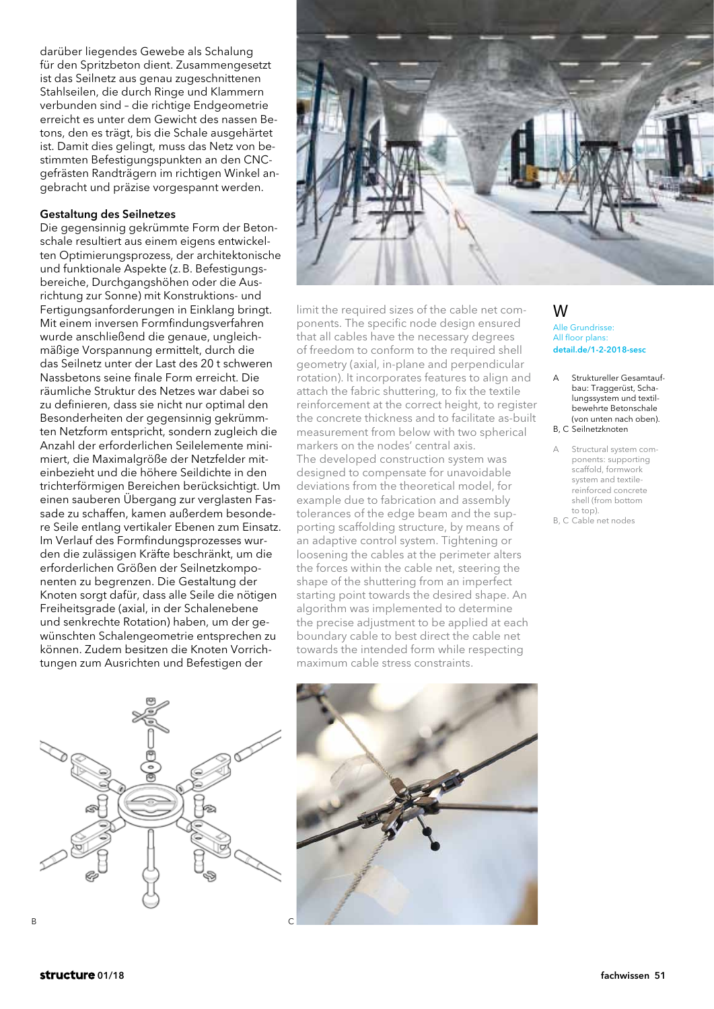darüber liegendes Gewebe als Schalung für den Spritzbeton dient. Zusammengesetzt ist das Seilnetz aus genau zugeschnittenen Stahlseilen, die durch Ringe und Klammern verbunden sind – die richtige Endgeometrie erreicht es unter dem Gewicht des nassen Betons, den es trägt, bis die Schale ausgehärtet ist. Damit dies gelingt, muss das Netz von bestimmten Befestigungspunkten an den CNCgefrästen Randträgern im richtigen Winkel angebracht und präzise vorgespannt werden.

## Gestaltung des Seilnetzes

Die gegensinnig gekrümmte Form der Betonschale resultiert aus einem eigens entwickelten Optimierungsprozess, der architektonische und funktionale Aspekte (z.B. Befestigungsbereiche, Durchgangshöhen oder die Ausrichtung zur Sonne) mit Konstruktions- und Fertigungsanforderungen in Einklang bringt. Mit einem inversen Formfindungsverfahren wurde anschließend die genaue, ungleichmäßige Vorspannung ermittelt, durch die das Seilnetz unter der Last des 20 t schweren Nassbetons seine finale Form erreicht. Die räumliche Struktur des Netzes war dabei so zu definieren, dass sie nicht nur optimal den Besonderheiten der gegensinnig gekrümmten Netzform entspricht, sondern zugleich die Anzahl der erforderlichen Seilelemente minimiert, die Maximalgröße der Netzfelder miteinbezieht und die höhere Seildichte in den trichterförmigen Bereichen berücksichtigt. Um einen sauberen Übergang zur verglasten Fassade zu schaffen, kamen außerdem besondere Seile entlang vertikaler Ebenen zum Einsatz. Im Verlauf des Formfindungsprozesses wurden die zulässigen Kräfte beschränkt, um die erforderlichen Größen der Seilnetzkomponenten zu begrenzen. Die Gestaltung der Knoten sorgt dafür, dass alle Seile die nötigen Freiheitsgrade (axial, in der Schalenebene und senkrechte Rotation) haben, um der gewünschten Schalengeometrie entsprechen zu können. Zudem besitzen die Knoten Vorrichtungen zum Ausrichten und Befestigen der



limit the required sizes of the cable net components. The specific node design ensured that all cables have the necessary degrees of freedom to conform to the required shell geometry (axial, in-plane and perpendicular rotation). It incorporates features to align and attach the fabric shuttering, to fix the textile reinforcement at the correct height, to register the concrete thickness and to facilitate as-built measurement from below with two spherical markers on the nodes' central axis. The developed construction system was designed to compensate for unavoidable deviations from the theoretical model, for example due to fabrication and assembly tolerances of the edge beam and the supporting scaffolding structure, by means of an adaptive control system. Tightening or loosening the cables at the perimeter alters the forces within the cable net, steering the shape of the shuttering from an imperfect starting point towards the desired shape. An algorithm was implemented to determine the precise adjustment to be applied at each boundary cable to best direct the cable net towards the intended form while respecting maximum cable stress constraints.

## W

Alle Grundrisse: All floor plans: detail.de/1-2-2018-sesc

- A Struktureller Gesamtaufbau: Traggerüst, Schalungssystem und textilbewehrte Betonschale (von unten nach oben). B, C Seilnetzknoten
- A Structural system components: supporting scaffold, formwork system and textilereinforced concrete shell (from bottom to top).
- B, C Cable net nodes



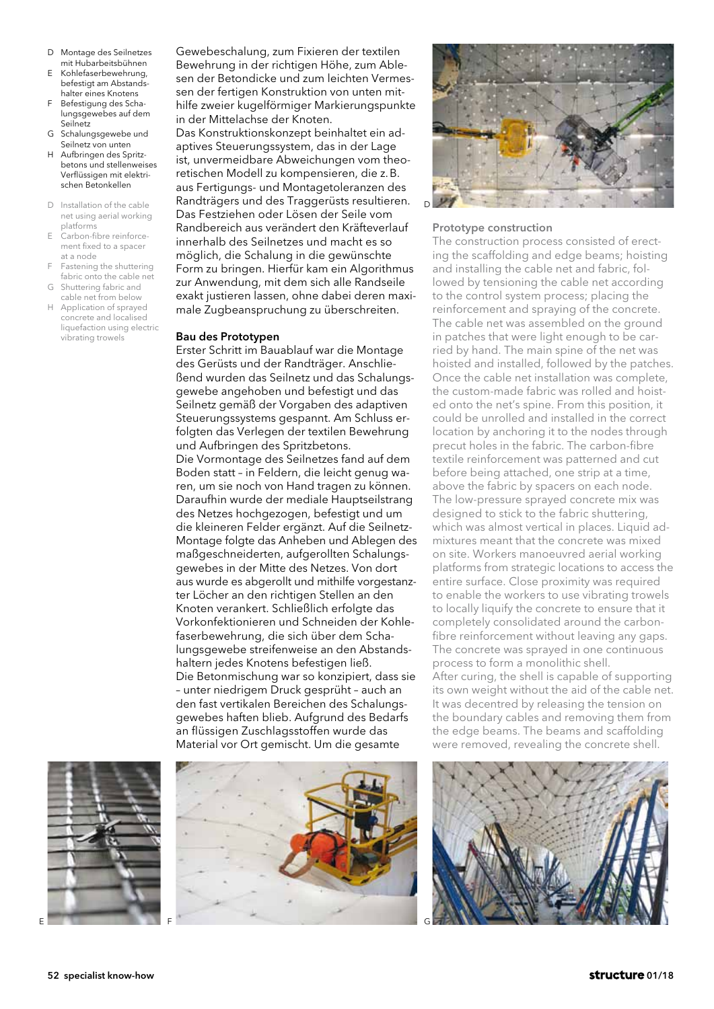- D Montage des Seilnetzes mit Hubarbeitsbühnen
- E Kohlefaserbewehrung, befestigt am Abstandshalter eines Knotens
- F Befestigung des Schalungsgewebes auf dem Seilnetz
- G Schalungsgewebe und Seilnetz von unten
- H Aufbringen des Spritzbetons und stellenweises Verflüssigen mit elektrischen Betonkellen
- D Installation of the cable net using aerial working platforms
- E Carbon-fibre reinforcement fixed to a spacer at a node
- Fastening the shuttering fabric onto the cable net
- G Shuttering fabric and cable net from below
- Application of sprayed concrete and localised liquefaction using electric vibrating trowels

Gewebeschalung, zum Fixieren der textilen Bewehrung in der richtigen Höhe, zum Ablesen der Betondicke und zum leichten Vermessen der fertigen Konstruktion von unten mithilfe zweier kugelförmiger Markierungspunkte in der Mittelachse der Knoten.

Das Konstruktionskonzept beinhaltet ein adaptives Steuerungssystem, das in der Lage ist, unvermeidbare Abweichungen vom theoretischen Modell zu kompensieren, die z.B. aus Fertigungs- und Montagetoleranzen des Randträgers und des Traggerüsts resultieren. Das Festziehen oder Lösen der Seile vom Randbereich aus verändert den Kräfteverlauf innerhalb des Seilnetzes und macht es so möglich, die Schalung in die gewünschte Form zu bringen. Hierfür kam ein Algorithmus zur Anwendung, mit dem sich alle Randseile exakt justieren lassen, ohne dabei deren maximale Zugbeanspruchung zu überschreiten.

### Bau des Prototypen

Erster Schritt im Bauablauf war die Montage des Gerüsts und der Randträger. Anschließend wurden das Seilnetz und das Schalungsgewebe angehoben und befestigt und das Seilnetz gemäß der Vorgaben des adaptiven Steuerungssystems gespannt. Am Schluss erfolgten das Verlegen der textilen Bewehrung und Aufbringen des Spritzbetons. Die Vormontage des Seilnetzes fand auf dem Boden statt – in Feldern, die leicht genug waren, um sie noch von Hand tragen zu können. Daraufhin wurde der mediale Hauptseilstrang des Netzes hochgezogen, befestigt und um die kleineren Felder ergänzt. Auf die Seilnetz-Montage folgte das Anheben und Ablegen des maßgeschneiderten, aufgerollten Schalungsgewebes in der Mitte des Netzes. Von dort aus wurde es abgerollt und mithilfe vorgestanzter Löcher an den richtigen Stellen an den Knoten verankert. Schließlich erfolgte das Vorkonfektionieren und Schneiden der Kohlefaserbewehrung, die sich über dem Schalungsgewebe streifenweise an den Abstandshaltern jedes Knotens befestigen ließ. Die Betonmischung war so konzipiert, dass sie – unter niedrigem Druck gesprüht – auch an den fast vertikalen Bereichen des Schalungsgewebes haften blieb. Aufgrund des Bedarfs an flüssigen Zuschlagsstoffen wurde das Material vor Ort gemischt. Um die gesamte





#### Prototype construction

The construction process consisted of erecting the scaffolding and edge beams; hoisting and installing the cable net and fabric, followed by tensioning the cable net according to the control system process; placing the reinforcement and spraying of the concrete. The cable net was assembled on the ground in patches that were light enough to be carried by hand. The main spine of the net was hoisted and installed, followed by the patches. Once the cable net installation was complete, the custom-made fabric was rolled and hoisted onto the net's spine. From this position, it could be unrolled and installed in the correct location by anchoring it to the nodes through precut holes in the fabric. The carbon-fibre textile reinforcement was patterned and cut before being attached, one strip at a time, above the fabric by spacers on each node. The low-pressure sprayed concrete mix was designed to stick to the fabric shuttering, which was almost vertical in places. Liquid admixtures meant that the concrete was mixed on site. Workers manoeuvred aerial working platforms from strategic locations to access the entire surface. Close proximity was required to enable the workers to use vibrating trowels to locally liquify the concrete to ensure that it completely consolidated around the carbonfibre reinforcement without leaving any gaps. The concrete was sprayed in one continuous process to form a monolithic shell. After curing, the shell is capable of supporting its own weight without the aid of the cable net. It was decentred by releasing the tension on the boundary cables and removing them from the edge beams. The beams and scaffolding were removed, revealing the concrete shell.